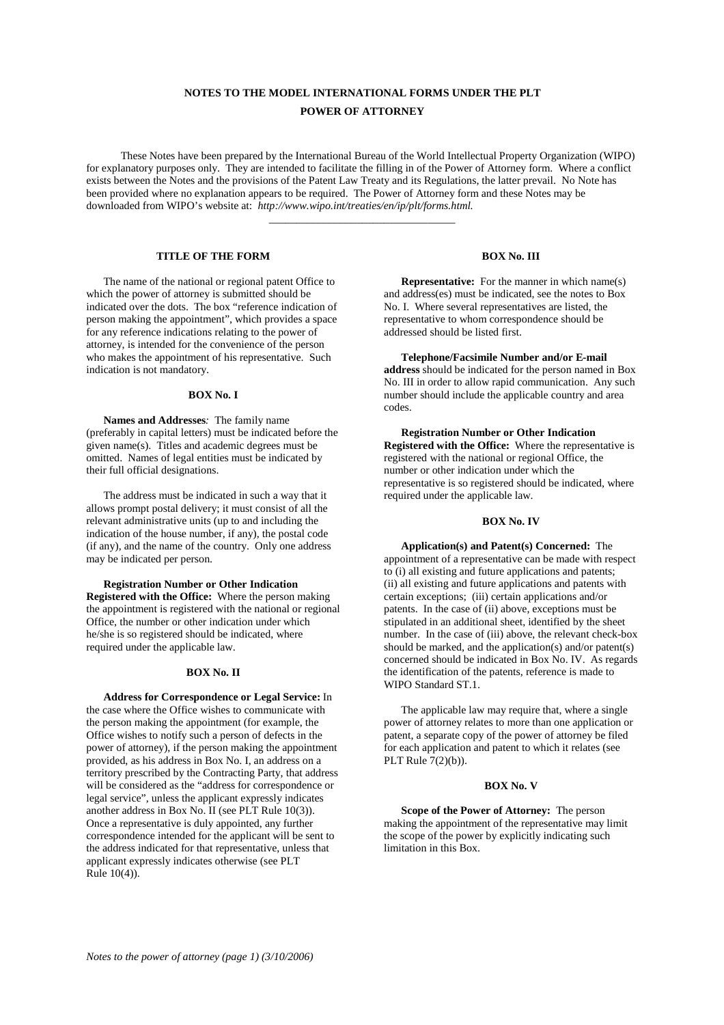# **NOTES TO THE MODEL INTERNATIONAL FORMS UNDER THE PLT POWER OF ATTORNEY**

These Notes have been prepared by the International Bureau of the World Intellectual Property Organization (WIPO) for explanatory purposes only. They are intended to facilitate the filling in of the Power of Attorney form. Where a conflict exists between the Notes and the provisions of the Patent Law Treaty and its Regulations, the latter prevail. No Note has been provided where no explanation appears to be required. The Power of Attorney form and these Notes may be downloaded from WIPO's website at: *http://www.wipo.int/treaties/en/ip/plt/forms.html.*

\_\_\_\_\_\_\_\_\_\_\_\_\_\_\_\_\_\_\_\_\_\_\_\_\_\_\_\_\_\_\_\_\_\_

## **TITLE OF THE FORM**

The name of the national or regional patent Office to which the power of attorney is submitted should be indicated over the dots. The box "reference indication of person making the appointment", which provides a space for any reference indications relating to the power of attorney, is intended for the convenience of the person who makes the appointment of his representative. Such indication is not mandatory.

## **BOX No. I**

**Names and Addresses***:* The family name (preferably in capital letters) must be indicated before the given name $(s)$ . Titles and academic degrees must be omitted. Names of legal entities must be indicated by their full official designations.

The address must be indicated in such a way that it allows prompt postal delivery; it must consist of all the relevant administrative units (up to and including the indication of the house number, if any), the postal code (if any), and the name of the country. Only one address may be indicated per person.

## **Registration Number or Other Indication Registered with the Office:** Where the person making the appointment is registered with the national or regional Office, the number or other indication under which he/she is so registered should be indicated, where required under the applicable law.

## **BOX No. II**

**Address for Correspondence or Legal Service:** In the case where the Office wishes to communicate with the person making the appointment (for example, the Office wishes to notify such a person of defects in the power of attorney), if the person making the appointment provided, as his address in Box No. I, an address on a territory prescribed by the Contracting Party, that address will be considered as the "address for correspondence or legal service", unless the applicant expressly indicates another address in Box No. II (see PLT Rule 10(3)). Once a representative is duly appointed, any further correspondence intended for the applicant will be sent to the address indicated for that representative, unless that applicant expressly indicates otherwise (see PLT Rule 10(4)).

#### **BOX No. III**

**Representative:** For the manner in which name(s) and address(es) must be indicated, see the notes to Box No. I. Where several representatives are listed, the representative to whom correspondence should be addressed should be listed first.

**Telephone/Facsimile Number and/or E-mail address** should be indicated for the person named in Box No. III in order to allow rapid communication. Any such number should include the applicable country and area codes.

## **Registration Number or Other Indication Registered with the Office:** Where the representative is registered with the national or regional Office, the number or other indication under which the representative is so registered should be indicated, where required under the applicable law.

#### **BOX No. IV**

**Application(s) and Patent(s) Concerned:** The appointment of a representative can be made with respect to (i) all existing and future applications and patents; (ii) all existing and future applications and patents with certain exceptions; (iii) certain applications and/or patents. In the case of (ii) above, exceptions must be stipulated in an additional sheet, identified by the sheet number. In the case of (iii) above, the relevant check-box should be marked, and the application(s) and/or patent(s) concerned should be indicated in Box No. IV. As regards the identification of the patents, reference is made to WIPO Standard ST.1.

The applicable law may require that, where a single power of attorney relates to more than one application or patent, a separate copy of the power of attorney be filed for each application and patent to which it relates (see PLT Rule 7(2)(b)).

#### **BOX No. V**

**Scope of the Power of Attorney:** The person making the appointment of the representative may limit the scope of the power by explicitly indicating such limitation in this Box.